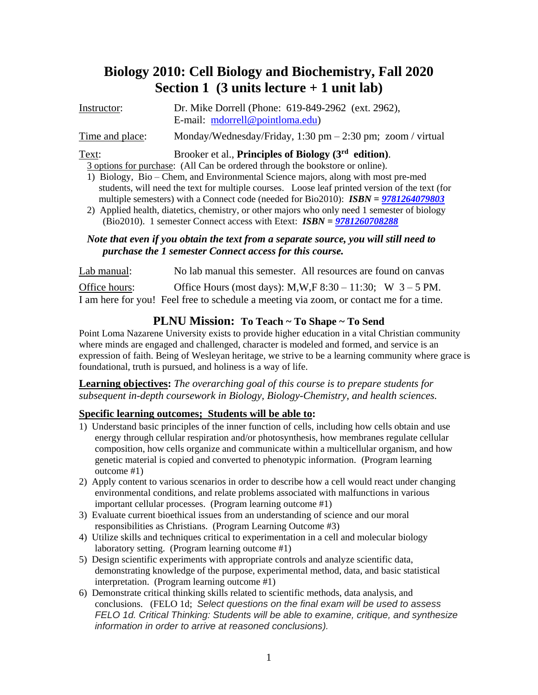# **Biology 2010: Cell Biology and Biochemistry, Fall 2020 Section 1 (3 units lecture + 1 unit lab)**

| Instructor:     | Dr. Mike Dorrell (Phone: 619-849-2962 (ext. 2962),                            |
|-----------------|-------------------------------------------------------------------------------|
|                 | E-mail: $mdorrell@pointloma.edu)$                                             |
| Time and place: | Monday/Wednesday/Friday, $1:30 \text{ pm} - 2:30 \text{ pm}$ ; zoom / virtual |

## Text: Brooker et al., **Principles of Biology (3 rd edition)**.

3 options for purchase: (All Can be ordered through the bookstore or online).

- 1) Biology, Bio Chem, and Environmental Science majors, along with most pre-med students, will need the text for multiple courses. Loose leaf printed version of the text (for multiple semesters) with a Connect code (needed for Bio2010): *ISBN = [9781264079803](https://nam05.safelinks.protection.outlook.com/?url=https%3A%2F%2Fmh--c.na66.visual.force.com%2Fapex%2FeSalesProductSummary%3Fid%3D01t0y000004nq5CAAQ&data=01%7C01%7CMissy.Stoll%40mheducation.com%7C0633704a330c49f2fc2e08d7e60c10a9%7Cf919b1efc0c347358fca0928ec39d8d5%7C0&sdata=DkXmTxFGb6VMp7eahgG5oF2yl3oDRQ3Bip5KVrZWpxk%3D&reserved=0)*
- 2) Applied health, diatetics, chemistry, or other majors who only need 1 semester of biology (Bio2010). 1 semester Connect access with Etext: *ISBN = [9781260708288](https://nam05.safelinks.protection.outlook.com/?url=https%3A%2F%2Fmh--c.na66.visual.force.com%2Fapex%2FeSalesProductSummary%3Fid%3D01t0y000005JDNJAA4&data=01%7C01%7CMissy.Stoll%40mheducation.com%7C0633704a330c49f2fc2e08d7e60c10a9%7Cf919b1efc0c347358fca0928ec39d8d5%7C0&sdata=AfW9M6pQ2hj26EycfPixELG3flZ1L6zAFfMWXF3%2B%2BOs%3D&reserved=0)*

## *Note that even if you obtain the text from a separate source, you will still need to purchase the 1 semester Connect access for this course.*

Lab manual: No lab manual this semester. All resources are found on canvas Office hours: Office Hours (most days):  $M, W, F, 8:30 - 11:30$ ; W 3 – 5 PM. I am here for you! Feel free to schedule a meeting via zoom, or contact me for a time.

## **PLNU Mission: To Teach ~ To Shape ~ To Send**

Point Loma Nazarene University exists to provide higher education in a vital Christian community where minds are engaged and challenged, character is modeled and formed, and service is an expression of faith. Being of Wesleyan heritage, we strive to be a learning community where grace is foundational, truth is pursued, and holiness is a way of life.

## **Learning objectives:** *The overarching goal of this course is to prepare students for subsequent in-depth coursework in Biology, Biology-Chemistry, and health sciences.*

## **Specific learning outcomes; Students will be able to:**

- 1) Understand basic principles of the inner function of cells, including how cells obtain and use energy through cellular respiration and/or photosynthesis, how membranes regulate cellular composition, how cells organize and communicate within a multicellular organism, and how genetic material is copied and converted to phenotypic information. (Program learning outcome #1)
- 2) Apply content to various scenarios in order to describe how a cell would react under changing environmental conditions, and relate problems associated with malfunctions in various important cellular processes. (Program learning outcome #1)
- 3) Evaluate current bioethical issues from an understanding of science and our moral responsibilities as Christians. (Program Learning Outcome #3)
- 4) Utilize skills and techniques critical to experimentation in a cell and molecular biology laboratory setting. (Program learning outcome #1)
- 5) Design scientific experiments with appropriate controls and analyze scientific data, demonstrating knowledge of the purpose, experimental method, data, and basic statistical interpretation. (Program learning outcome #1)
- 6) Demonstrate critical thinking skills related to scientific methods, data analysis, and conclusions. (FELO 1d; *Select questions on the final exam will be used to assess FELO 1d. Critical Thinking: Students will be able to examine, critique, and synthesize information in order to arrive at reasoned conclusions).*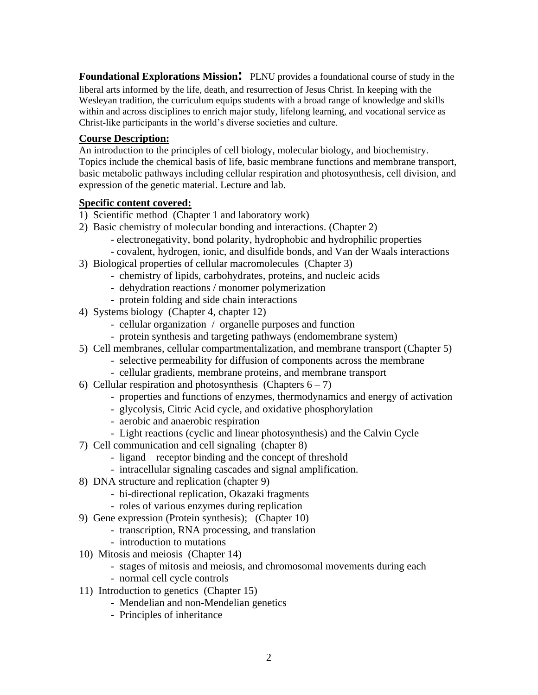**Foundational Explorations Mission**: PLNU provides a foundational course of study in the liberal arts informed by the life, death, and resurrection of Jesus Christ. In keeping with the Wesleyan tradition, the curriculum equips students with a broad range of knowledge and skills within and across disciplines to enrich major study, lifelong learning, and vocational service as Christ-like participants in the world's diverse societies and culture.

#### **Course Description:**

An introduction to the principles of cell biology, molecular biology, and biochemistry. Topics include the chemical basis of life, basic membrane functions and membrane transport, basic metabolic pathways including cellular respiration and photosynthesis, cell division, and expression of the genetic material. Lecture and lab.

#### **Specific content covered:**

- 1) Scientific method (Chapter 1 and laboratory work)
- 2) Basic chemistry of molecular bonding and interactions. (Chapter 2)
	- electronegativity, bond polarity, hydrophobic and hydrophilic properties
	- covalent, hydrogen, ionic, and disulfide bonds, and Van der Waals interactions
- 3) Biological properties of cellular macromolecules (Chapter 3)
	- chemistry of lipids, carbohydrates, proteins, and nucleic acids
	- dehydration reactions / monomer polymerization
	- protein folding and side chain interactions
- 4) Systems biology (Chapter 4, chapter 12)
	- cellular organization / organelle purposes and function
	- protein synthesis and targeting pathways (endomembrane system)
- 5) Cell membranes, cellular compartmentalization, and membrane transport (Chapter 5)
	- selective permeability for diffusion of components across the membrane
	- cellular gradients, membrane proteins, and membrane transport
- 6) Cellular respiration and photosynthesis (Chapters  $6 7$ )
	- properties and functions of enzymes, thermodynamics and energy of activation
	- glycolysis, Citric Acid cycle, and oxidative phosphorylation
	- aerobic and anaerobic respiration
	- Light reactions (cyclic and linear photosynthesis) and the Calvin Cycle
- 7) Cell communication and cell signaling (chapter 8)
	- ligand receptor binding and the concept of threshold
	- intracellular signaling cascades and signal amplification.
- 8) DNA structure and replication (chapter 9)
	- bi-directional replication, Okazaki fragments
	- roles of various enzymes during replication
- 9) Gene expression (Protein synthesis); (Chapter 10)
	- transcription, RNA processing, and translation
	- introduction to mutations
- 10) Mitosis and meiosis (Chapter 14)
	- stages of mitosis and meiosis, and chromosomal movements during each
	- normal cell cycle controls
- 11) Introduction to genetics (Chapter 15)
	- Mendelian and non-Mendelian genetics
	- Principles of inheritance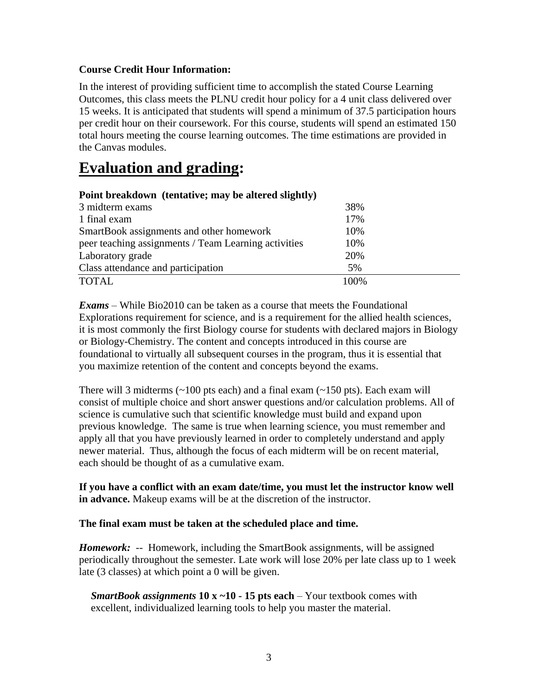## **Course Credit Hour Information:**

In the interest of providing sufficient time to accomplish the stated Course Learning Outcomes, this class meets the PLNU credit hour policy for a 4 unit class delivered over 15 weeks. It is anticipated that students will spend a minimum of 37.5 participation hours per credit hour on their coursework. For this course, students will spend an estimated 150 total hours meeting the course learning outcomes. The time estimations are provided in the Canvas modules.

# **Evaluation and grading:**

| Point breakdown (tentative; may be altered slightly) |      |
|------------------------------------------------------|------|
| 3 midterm exams                                      | 38%  |
| 1 final exam                                         | 17%  |
| SmartBook assignments and other homework             | 10%  |
| peer teaching assignments / Team Learning activities | 10%  |
| Laboratory grade                                     | 20%  |
| Class attendance and participation                   | 5%   |
| <b>TOTAL</b>                                         | 100% |

*Exams* – While Bio2010 can be taken as a course that meets the Foundational Explorations requirement for science, and is a requirement for the allied health sciences, it is most commonly the first Biology course for students with declared majors in Biology or Biology-Chemistry. The content and concepts introduced in this course are foundational to virtually all subsequent courses in the program, thus it is essential that you maximize retention of the content and concepts beyond the exams.

There will 3 midterms  $(\sim 100 \text{ pts each})$  and a final exam  $(\sim 150 \text{ pts})$ . Each exam will consist of multiple choice and short answer questions and/or calculation problems. All of science is cumulative such that scientific knowledge must build and expand upon previous knowledge. The same is true when learning science, you must remember and apply all that you have previously learned in order to completely understand and apply newer material. Thus, although the focus of each midterm will be on recent material, each should be thought of as a cumulative exam.

**If you have a conflict with an exam date/time, you must let the instructor know well in advance.** Makeup exams will be at the discretion of the instructor.

## **The final exam must be taken at the scheduled place and time.**

*Homework:* -- Homework, including the SmartBook assignments, will be assigned periodically throughout the semester. Late work will lose 20% per late class up to 1 week late (3 classes) at which point a 0 will be given.

*SmartBook assignments* **10 x ~10 - 15 pts each** – Your textbook comes with excellent, individualized learning tools to help you master the material.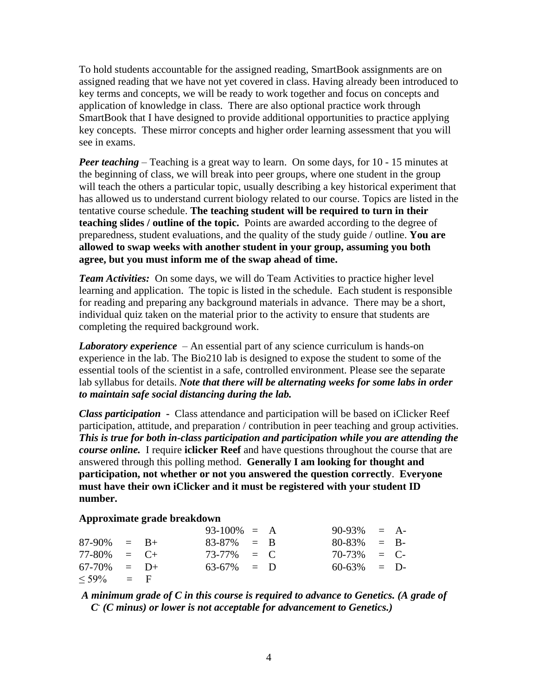To hold students accountable for the assigned reading, SmartBook assignments are on assigned reading that we have not yet covered in class. Having already been introduced to key terms and concepts, we will be ready to work together and focus on concepts and application of knowledge in class. There are also optional practice work through SmartBook that I have designed to provide additional opportunities to practice applying key concepts. These mirror concepts and higher order learning assessment that you will see in exams.

*Peer teaching* – Teaching is a great way to learn. On some days, for 10 - 15 minutes at the beginning of class, we will break into peer groups, where one student in the group will teach the others a particular topic, usually describing a key historical experiment that has allowed us to understand current biology related to our course. Topics are listed in the tentative course schedule. **The teaching student will be required to turn in their teaching slides / outline of the topic.** Points are awarded according to the degree of preparedness, student evaluations, and the quality of the study guide / outline. **You are allowed to swap weeks with another student in your group, assuming you both agree, but you must inform me of the swap ahead of time.** 

*Team Activities:* On some days, we will do Team Activities to practice higher level learning and application. The topic is listed in the schedule. Each student is responsible for reading and preparing any background materials in advance. There may be a short, individual quiz taken on the material prior to the activity to ensure that students are completing the required background work.

*Laboratory experience* – An essential part of any science curriculum is hands-on experience in the lab. The Bio210 lab is designed to expose the student to some of the essential tools of the scientist in a safe, controlled environment. Please see the separate lab syllabus for details. *Note that there will be alternating weeks for some labs in order to maintain safe social distancing during the lab.*

*Class participation* **-** Class attendance and participation will be based on iClicker Reef participation, attitude, and preparation / contribution in peer teaching and group activities. *This is true for both in-class participation and participation while you are attending the course online.*I require **iclicker Reef** and have questions throughout the course that are answered through this polling method. **Generally I am looking for thought and participation, not whether or not you answered the question correctly**. **Everyone must have their own iClicker and it must be registered with your student ID number.**

#### **Approximate grade breakdown**

|                 |        | $93-100\% = A$ |  | $90-93\% = A$ |  |
|-----------------|--------|----------------|--|---------------|--|
| $87-90\% = B+$  |        | $83-87\% = B$  |  | $80-83\% = B$ |  |
| $77-80\% = C+$  |        | $73-77\% = C$  |  | $70-73\% = C$ |  |
| 67-70%          | $=$ D+ | $63-67\% = D$  |  | $60-63\% = D$ |  |
| $\leq 59\%$ = F |        |                |  |               |  |

*A minimum grade of C in this course is required to advance to Genetics. (A grade of C - (C minus) or lower is not acceptable for advancement to Genetics.)*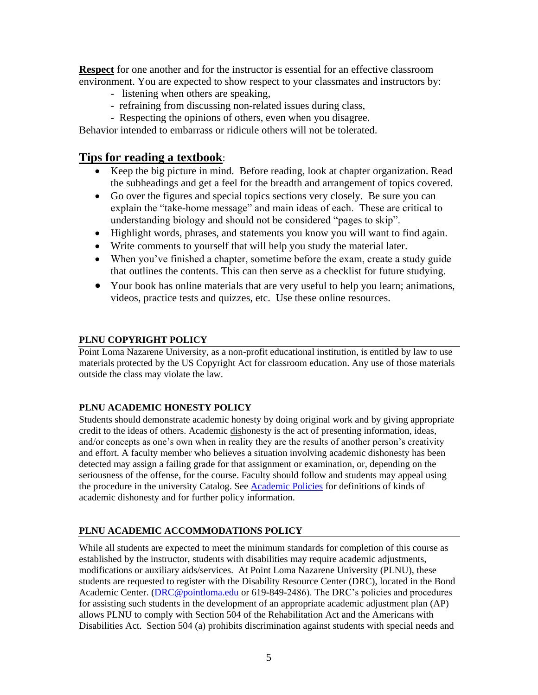**Respect** for one another and for the instructor is essential for an effective classroom environment. You are expected to show respect to your classmates and instructors by:

- listening when others are speaking,
- refraining from discussing non-related issues during class,
- Respecting the opinions of others, even when you disagree.

Behavior intended to embarrass or ridicule others will not be tolerated.

## **Tips for reading a textbook**:

- Keep the big picture in mind. Before reading, look at chapter organization. Read the subheadings and get a feel for the breadth and arrangement of topics covered.
- Go over the figures and special topics sections very closely. Be sure you can explain the "take-home message" and main ideas of each. These are critical to understanding biology and should not be considered "pages to skip".
- Highlight words, phrases, and statements you know you will want to find again.
- Write comments to yourself that will help you study the material later.
- When you've finished a chapter, sometime before the exam, create a study guide that outlines the contents. This can then serve as a checklist for future studying.
- Your book has online materials that are very useful to help you learn; animations, videos, practice tests and quizzes, etc. Use these online resources.

#### **PLNU COPYRIGHT POLICY**

Point Loma Nazarene University, as a non-profit educational institution, is entitled by law to use materials protected by the US Copyright Act for classroom education. Any use of those materials outside the class may violate the law.

## **PLNU ACADEMIC HONESTY POLICY**

Students should demonstrate academic honesty by doing original work and by giving appropriate credit to the ideas of others. Academic dishonesty is the act of presenting information, ideas, and/or concepts as one's own when in reality they are the results of another person's creativity and effort. A faculty member who believes a situation involving academic dishonesty has been detected may assign a failing grade for that assignment or examination, or, depending on the seriousness of the offense, for the course. Faculty should follow and students may appeal using the procedure in the university Catalog. See [Academic Policies](http://catalog.pointloma.edu/content.php?catoid=18&navoid=1278) for definitions of kinds of academic dishonesty and for further policy information.

## **PLNU ACADEMIC ACCOMMODATIONS POLICY**

While all students are expected to meet the minimum standards for completion of this course as established by the instructor, students with disabilities may require academic adjustments, modifications or auxiliary aids/services. At Point Loma Nazarene University (PLNU), these students are requested to register with the Disability Resource Center (DRC), located in the Bond Academic Center. [\(DRC@pointloma.edu](mailto:DRC@pointloma.edu) or 619-849-2486). The DRC's policies and procedures for assisting such students in the development of an appropriate academic adjustment plan (AP) allows PLNU to comply with Section 504 of the Rehabilitation Act and the Americans with Disabilities Act. Section 504 (a) prohibits discrimination against students with special needs and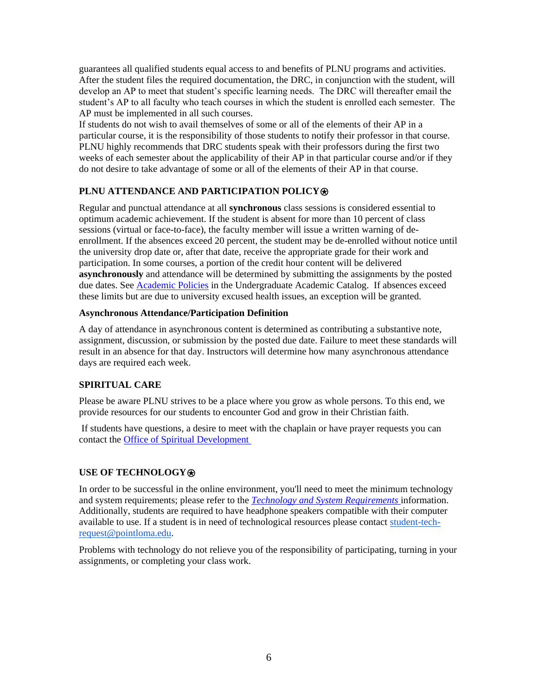guarantees all qualified students equal access to and benefits of PLNU programs and activities. After the student files the required documentation, the DRC, in conjunction with the student, will develop an AP to meet that student's specific learning needs. The DRC will thereafter email the student's AP to all faculty who teach courses in which the student is enrolled each semester. The AP must be implemented in all such courses.

If students do not wish to avail themselves of some or all of the elements of their AP in a particular course, it is the responsibility of those students to notify their professor in that course. PLNU highly recommends that DRC students speak with their professors during the first two weeks of each semester about the applicability of their AP in that particular course and/or if they do not desire to take advantage of some or all of the elements of their AP in that course.

## **PLNU ATTENDANCE AND PARTICIPATION POLICY**⍟

Regular and punctual attendance at all **synchronous** class sessions is considered essential to optimum academic achievement. If the student is absent for more than 10 percent of class sessions (virtual or face-to-face), the faculty member will issue a written warning of deenrollment. If the absences exceed 20 percent, the student may be de-enrolled without notice until the university drop date or, after that date, receive the appropriate grade for their work and participation. In some courses, a portion of the credit hour content will be delivered **asynchronously** and attendance will be determined by submitting the assignments by the posted due dates. See [Academic Policies](https://catalog.pointloma.edu/content.php?catoid=46&navoid=2650#Class_Attendance) in the Undergraduate Academic Catalog. If absences exceed these limits but are due to university excused health issues, an exception will be granted.

#### **Asynchronous Attendance/Participation Definition**

A day of attendance in asynchronous content is determined as contributing a substantive note, assignment, discussion, or submission by the posted due date. Failure to meet these standards will result in an absence for that day. Instructors will determine how many asynchronous attendance days are required each week.

## **SPIRITUAL CARE**

Please be aware PLNU strives to be a place where you grow as whole persons. To this end, we provide resources for our students to encounter God and grow in their Christian faith.

If students have questions, a desire to meet with the chaplain or have prayer requests you can contact the [Office of Spiritual Development](https://www.pointloma.edu/offices/spiritual-development)

## **USE OF TECHNOLOGY**⍟

In order to be successful in the online environment, you'll need to meet the minimum technology and system requirements; please refer to the *[Technology and System Requirements](https://help.pointloma.edu/TDClient/1808/Portal/KB/ArticleDet?ID=108349)* information. Additionally, students are required to have headphone speakers compatible with their computer available to use. If a student is in need of technological resources please contact [student-tech](mailto:student-tech-request@pointloma.edu)[request@pointloma.edu.](mailto:student-tech-request@pointloma.edu)

Problems with technology do not relieve you of the responsibility of participating, turning in your assignments, or completing your class work.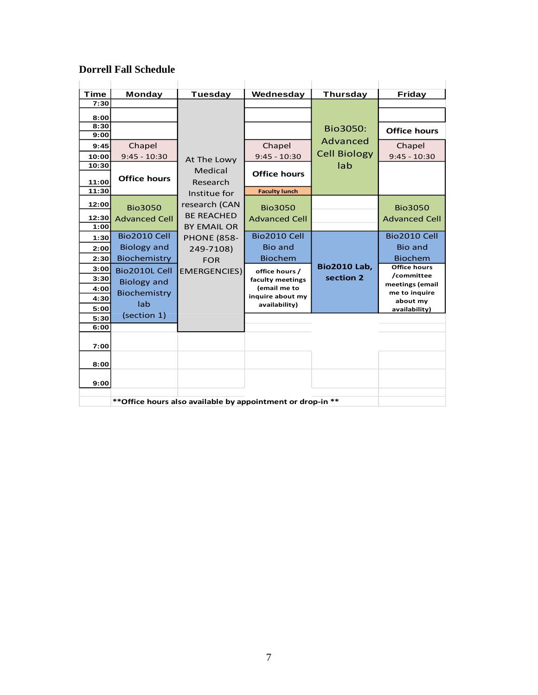## **Dorrell Fall Schedule**

| Time<br>7:30 | Monday               | <b>Tuesday</b>       | Wednesday                                                   | <b>Thursday</b>     | Friday                        |
|--------------|----------------------|----------------------|-------------------------------------------------------------|---------------------|-------------------------------|
|              |                      |                      |                                                             |                     |                               |
| 8:00         |                      |                      |                                                             |                     |                               |
| 8:30<br>9:00 |                      |                      |                                                             | Bio3050:            | <b>Office hours</b>           |
| 9:45         | Chapel               |                      | Chapel                                                      | Advanced            | Chapel                        |
| 10:00        | $9:45 - 10:30$       |                      | $9:45 - 10:30$                                              | <b>Cell Biology</b> | $9:45 - 10:30$                |
| 10:30        |                      | At The Lowy          |                                                             | lab                 |                               |
|              | <b>Office hours</b>  | Medical              | <b>Office hours</b>                                         |                     |                               |
| 11:00        |                      | Research             |                                                             |                     |                               |
| 11:30        |                      | Institue for         | <b>Faculty lunch</b>                                        |                     |                               |
| 12:00        | <b>Bio3050</b>       | research (CAN        | <b>Bio3050</b>                                              |                     | <b>Bio3050</b>                |
| 12:30        | <b>Advanced Cell</b> | <b>BE REACHED</b>    | <b>Advanced Cell</b>                                        |                     | <b>Advanced Cell</b>          |
| 1:00         |                      | <b>BY EMAIL OR</b>   |                                                             |                     |                               |
| 1:30         | Bio2010 Cell         | <b>PHONE (858-</b>   | Bio2010 Cell                                                |                     | Bio2010 Cell                  |
| 2:00         | <b>Biology and</b>   | 249-7108)            | <b>Bio and</b>                                              |                     | <b>Bio and</b>                |
| 2:30         | Biochemistry         | <b>FOR</b>           | <b>Biochem</b>                                              |                     | <b>Biochem</b>                |
| 3:00         | Bio2010L Cell        | <b>EMERGENCIES</b> ) | office hours /                                              | <b>Bio2010 Lab,</b> | <b>Office hours</b>           |
| 3:30         | <b>Biology and</b>   |                      | faculty meetings                                            | section 2           | /committee<br>meetings (email |
| 4:00         | Biochemistry         |                      | (email me to                                                |                     | me to inquire                 |
| 4:30         | lab                  |                      | inquire about my<br>availability)                           |                     | about my                      |
| 5:00         | (section 1)          |                      |                                                             |                     | availability)                 |
| 5:30<br>6:00 |                      |                      |                                                             |                     |                               |
|              |                      |                      |                                                             |                     |                               |
| 7:00         |                      |                      |                                                             |                     |                               |
|              |                      |                      |                                                             |                     |                               |
| 8:00         |                      |                      |                                                             |                     |                               |
| 9:00         |                      |                      |                                                             |                     |                               |
|              |                      |                      |                                                             |                     |                               |
|              |                      |                      | ** Office hours also available by appointment or drop-in ** |                     |                               |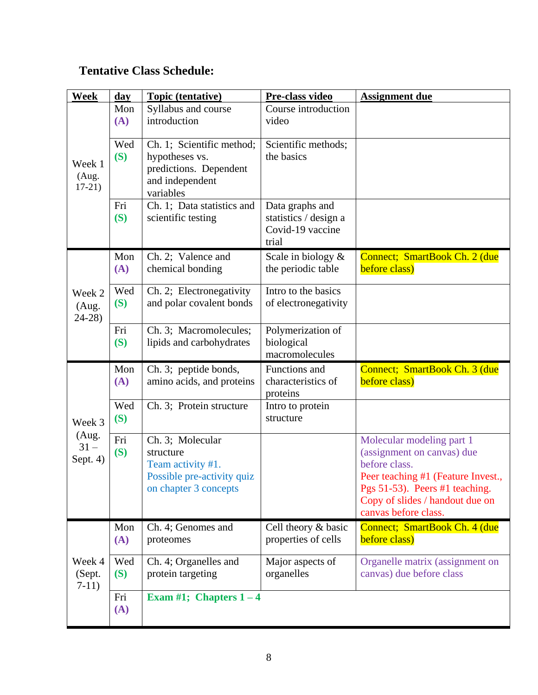## **Tentative Class Schedule:**

| Week                        | $\bf{day}$ | <b>Topic (tentative)</b>                                                                                  | Pre-class video                                                       | <b>Assignment due</b>                                                                                                                                                                                       |
|-----------------------------|------------|-----------------------------------------------------------------------------------------------------------|-----------------------------------------------------------------------|-------------------------------------------------------------------------------------------------------------------------------------------------------------------------------------------------------------|
|                             | Mon<br>(A) | Syllabus and course<br>introduction                                                                       | Course introduction<br>video                                          |                                                                                                                                                                                                             |
| Week 1<br>(Aug.<br>$17-21)$ | Wed<br>(S) | Ch. 1; Scientific method;<br>hypotheses vs.<br>predictions. Dependent<br>and independent<br>variables     | Scientific methods;<br>the basics                                     |                                                                                                                                                                                                             |
|                             | Fri<br>(S) | Ch. 1; Data statistics and<br>scientific testing                                                          | Data graphs and<br>statistics / design a<br>Covid-19 vaccine<br>trial |                                                                                                                                                                                                             |
|                             | Mon<br>(A) | Ch. 2; Valence and<br>chemical bonding                                                                    | Scale in biology $\&$<br>the periodic table                           | Connect; SmartBook Ch. 2 (due<br>before class)                                                                                                                                                              |
| Week 2<br>(Aug.<br>$24-28$  | Wed<br>(S) | Ch. 2; Electronegativity<br>and polar covalent bonds                                                      | Intro to the basics<br>of electronegativity                           |                                                                                                                                                                                                             |
|                             | Fri<br>(S) | Ch. 3; Macromolecules;<br>lipids and carbohydrates                                                        | Polymerization of<br>biological<br>macromolecules                     |                                                                                                                                                                                                             |
|                             | Mon<br>(A) | Ch. 3; peptide bonds,<br>amino acids, and proteins                                                        | Functions and<br>characteristics of<br>proteins                       | Connect; SmartBook Ch. 3 (due<br>before class)                                                                                                                                                              |
| Week 3                      | Wed<br>(S) | Ch. 3; Protein structure                                                                                  | Intro to protein<br>structure                                         |                                                                                                                                                                                                             |
| (Aug.<br>$31 -$<br>Sept. 4) | Fri<br>(S) | Ch. 3; Molecular<br>structure<br>Team activity #1.<br>Possible pre-activity quiz<br>on chapter 3 concepts |                                                                       | Molecular modeling part 1<br>(assignment on canvas) due<br>before class.<br>Peer teaching #1 (Feature Invest.,<br>Pgs 51-53). Peers #1 teaching.<br>Copy of slides / handout due on<br>canvas before class. |
| Week 4<br>(Sept.<br>$7-11)$ | Mon<br>(A) | Ch. 4; Genomes and<br>proteomes                                                                           | Cell theory & basic<br>properties of cells                            | Connect; SmartBook Ch. 4 (due<br>before class)                                                                                                                                                              |
|                             | Wed<br>(S) | Ch. 4; Organelles and<br>protein targeting                                                                | Major aspects of<br>organelles                                        | Organelle matrix (assignment on<br>canvas) due before class                                                                                                                                                 |
|                             | Fri<br>(A) | Exam #1; Chapters $1-4$                                                                                   |                                                                       |                                                                                                                                                                                                             |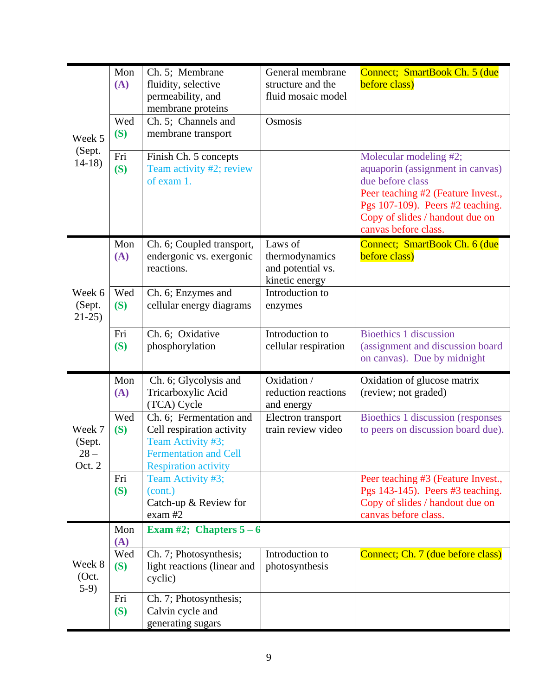|                                      | Mon<br>(A) | Ch. 5; Membrane<br>fluidity, selective<br>permeability, and<br>membrane proteins                                                         | General membrane<br>structure and the<br>fluid mosaic model      | Connect; SmartBook Ch. 5 (due<br>before class)                                                                                                                                                                      |
|--------------------------------------|------------|------------------------------------------------------------------------------------------------------------------------------------------|------------------------------------------------------------------|---------------------------------------------------------------------------------------------------------------------------------------------------------------------------------------------------------------------|
| Week 5<br>(Sept.<br>$14-18$          | Wed<br>(S) | Ch. 5; Channels and<br>membrane transport                                                                                                | Osmosis                                                          |                                                                                                                                                                                                                     |
|                                      | Fri<br>(S) | Finish Ch. 5 concepts<br>Team activity #2; review<br>of exam 1.                                                                          |                                                                  | Molecular modeling #2;<br>aquaporin (assignment in canvas)<br>due before class<br>Peer teaching #2 (Feature Invest.,<br>Pgs 107-109). Peers #2 teaching.<br>Copy of slides / handout due on<br>canvas before class. |
|                                      | Mon<br>(A) | Ch. 6; Coupled transport,<br>endergonic vs. exergonic<br>reactions.                                                                      | Laws of<br>thermodynamics<br>and potential vs.<br>kinetic energy | Connect; SmartBook Ch. 6 (due<br>before class)                                                                                                                                                                      |
| Week 6<br>(Sept.<br>$21-25$          | Wed<br>(S) | Ch. 6; Enzymes and<br>cellular energy diagrams                                                                                           | Introduction to<br>enzymes                                       |                                                                                                                                                                                                                     |
|                                      | Fri<br>(S) | Ch. 6; Oxidative<br>phosphorylation                                                                                                      | Introduction to<br>cellular respiration                          | <b>Bioethics 1 discussion</b><br>(assignment and discussion board<br>on canvas). Due by midnight                                                                                                                    |
|                                      | Mon<br>(A) | Ch. 6; Glycolysis and<br>Tricarboxylic Acid<br>(TCA) Cycle                                                                               | Oxidation /<br>reduction reactions<br>and energy                 | Oxidation of glucose matrix<br>(review; not graded)                                                                                                                                                                 |
| Week 7<br>(Sept.<br>$28 -$<br>Oct. 2 | Wed<br>(S) | Ch. 6; Fermentation and<br>Cell respiration activity<br>Team Activity #3;<br><b>Fermentation and Cell</b><br><b>Respiration activity</b> | Electron transport<br>train review video                         | Bioethics 1 discussion (responses<br>to peers on discussion board due).                                                                                                                                             |
|                                      | Fri<br>(S) | Team Activity #3;<br>(cont.)<br>Catch-up & Review for<br>$exam$ #2                                                                       |                                                                  | Peer teaching #3 (Feature Invest.,<br>Pgs 143-145). Peers #3 teaching.<br>Copy of slides / handout due on<br>canvas before class.                                                                                   |
|                                      | Mon<br>(A) | Exam #2; Chapters $5-6$                                                                                                                  |                                                                  |                                                                                                                                                                                                                     |
| Week 8<br>(Oct.<br>$5-9)$            | Wed<br>(S) | Ch. 7; Photosynthesis;<br>light reactions (linear and<br>cyclic)                                                                         | Introduction to<br>photosynthesis                                | Connect; Ch. 7 (due before class)                                                                                                                                                                                   |
|                                      | Fri<br>(S) | Ch. 7; Photosynthesis;<br>Calvin cycle and<br>generating sugars                                                                          |                                                                  |                                                                                                                                                                                                                     |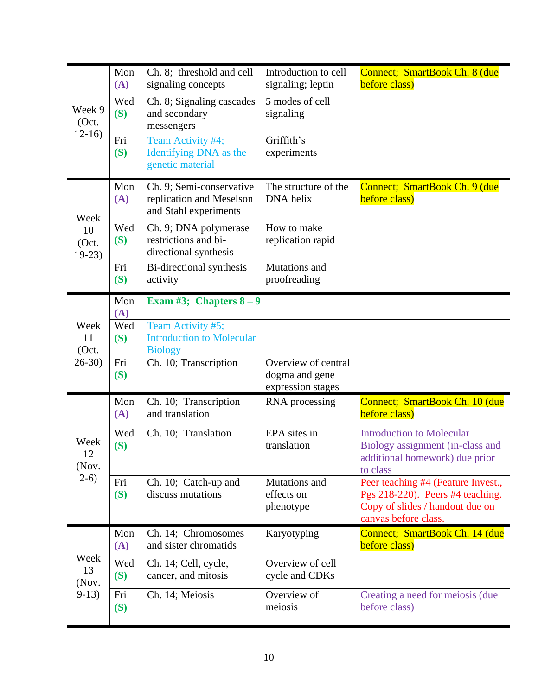|                                | Mon<br>(A) | Ch. 8; threshold and cell<br>signaling concepts                               | Introduction to cell<br>signaling; leptin                  | Connect; SmartBook Ch. 8 (due<br>before class)                                                                                    |
|--------------------------------|------------|-------------------------------------------------------------------------------|------------------------------------------------------------|-----------------------------------------------------------------------------------------------------------------------------------|
| Week 9<br>(Oct.<br>$12-16$     | Wed<br>(S) | Ch. 8; Signaling cascades<br>and secondary<br>messengers                      | 5 modes of cell<br>signaling                               |                                                                                                                                   |
|                                | Fri<br>(S) | Team Activity #4;<br>Identifying DNA as the<br>genetic material               | Griffith's<br>experiments                                  |                                                                                                                                   |
| Week                           | Mon<br>(A) | Ch. 9; Semi-conservative<br>replication and Meselson<br>and Stahl experiments | The structure of the<br>DNA helix                          | Connect; SmartBook Ch. 9 (due<br>before class)                                                                                    |
| 10<br>(Oct.<br>$19-23$         | Wed<br>(S) | Ch. 9; DNA polymerase<br>restrictions and bi-<br>directional synthesis        | How to make<br>replication rapid                           |                                                                                                                                   |
|                                | Fri<br>(S) | Bi-directional synthesis<br>activity                                          | Mutations and<br>proofreading                              |                                                                                                                                   |
|                                | Mon<br>(A) | Exam #3; Chapters $8-9$                                                       |                                                            |                                                                                                                                   |
| Week<br>11<br>(Oct.<br>$26-30$ | Wed<br>(S) | Team Activity #5;<br><b>Introduction to Molecular</b><br><b>Biology</b>       |                                                            |                                                                                                                                   |
|                                | Fri<br>(S) | Ch. 10; Transcription                                                         | Overview of central<br>dogma and gene<br>expression stages |                                                                                                                                   |
|                                | Mon<br>(A) | Ch. 10; Transcription<br>and translation                                      | RNA processing                                             | Connect; SmartBook Ch. 10 (due<br>before class)                                                                                   |
| Week<br>12<br>(Nov.            | Wed<br>(S) | Ch. 10; Translation                                                           | EPA sites in<br>translation                                | <b>Introduction to Molecular</b><br>Biology assignment (in-class and<br>additional homework) due prior<br>to class                |
| $2-6)$                         | Fri<br>(S) | Ch. 10; Catch-up and<br>discuss mutations                                     | Mutations and<br>effects on<br>phenotype                   | Peer teaching #4 (Feature Invest.,<br>Pgs 218-220). Peers #4 teaching.<br>Copy of slides / handout due on<br>canvas before class. |
|                                | Mon<br>(A) | Ch. 14; Chromosomes<br>and sister chromatids                                  | Karyotyping                                                | Connect; SmartBook Ch. 14 (due<br>before class)                                                                                   |
| Week<br>13<br>(Nov.            | Wed<br>(S) | Ch. 14; Cell, cycle,<br>cancer, and mitosis                                   | Overview of cell<br>cycle and CDKs                         |                                                                                                                                   |
| $9-13)$                        | Fri<br>(S) | Ch. 14; Meiosis                                                               | Overview of<br>meiosis                                     | Creating a need for meiosis (due<br>before class)                                                                                 |